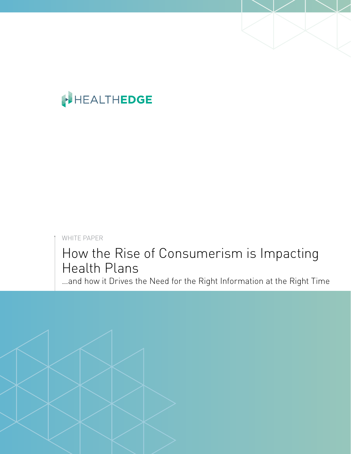# HEALTHEDGE

WHITE PAPER

## How the Rise of Consumerism is Impacting Health Plans

…and how it Drives the Need for the Right Information at the Right Time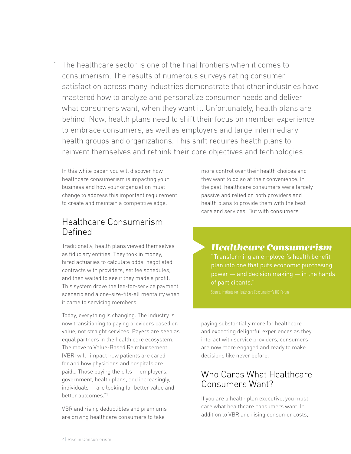The healthcare sector is one of the final frontiers when it comes to consumerism. The results of numerous surveys rating consumer satisfaction across many industries demonstrate that other industries have mastered how to analyze and personalize consumer needs and deliver what consumers want, when they want it. Unfortunately, health plans are behind. Now, health plans need to shift their focus on member experience to embrace consumers, as well as employers and large intermediary health groups and organizations. This shift requires health plans to reinvent themselves and rethink their core objectives and technologies.

In this white paper, you will discover how healthcare consumerism is impacting your business and how your organization must change to address this important requirement to create and maintain a competitive edge.

#### Healthcare Consumerism Defined

Traditionally, health plans viewed themselves as fiduciary entities. They took in money, hired actuaries to calculate odds, negotiated contracts with providers, set fee schedules, and then waited to see if they made a profit. This system drove the fee-for-service payment scenario and a one-size-fits-all mentality when it came to servicing members.

Today, everything is changing. The industry is now transitioning to paying providers based on value, not straight services. Payers are seen as equal partners in the health care ecosystem. The move to Value-Based Reimbursement (VBR) will "impact how patients are cared for and how physicians and hospitals are paid… Those paying the bills — employers, government, health plans, and increasingly, individuals — are looking for better value and better outcomes."1

VBR and rising deductibles and premiums are driving healthcare consumers to take

more control over their health choices and they want to do so at their convenience. In the past, healthcare consumers were largely passive and relied on both providers and health plans to provide them with the best care and services. But with consumers

#### *Healthcare Consumerism*

"Transforming an employer's health benefit power — and decision making — in the hands of participants."

paying substantially more for healthcare and expecting delightful experiences as they interact with service providers, consumers are now more engaged and ready to make decisions like never before.

#### Who Cares What Healthcare Consumers Want?

If you are a health plan executive, you must care what healthcare consumers want. In addition to VBR and rising consumer costs,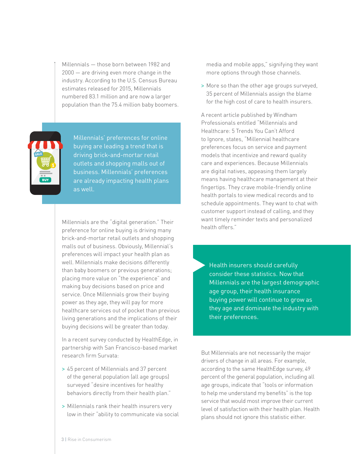Millennials — those born between 1982 and 2000 — are driving even more change in the industry. According to the U.S. Census Bureau estimates released for 2015, Millennials numbered 83.1 million and are now a larger population than the 75.4 million baby boomers.



Millennials' preferences for online buying are leading a trend that is driving brick-and-mortar retail outlets and shopping malls out of business. Millennials' preferences are already impacting health plans as well.

Millennials are the "digital generation." Their preference for online buying is driving many brick-and-mortar retail outlets and shopping malls out of business. Obviously, Millennial's preferences will impact your health plan as well. Millennials make decisions differently than baby boomers or previous generations; placing more value on "the experience" and making buy decisions based on price and service. Once Millennials grow their buying power as they age, they will pay for more healthcare services out of pocket than previous living generations and the implications of their buying decisions will be greater than today.

In a recent survey conducted by HealthEdge, in partnership with San Francisco-based market research firm Survata:

- > 45 percent of Millennials and 37 percent of the general population (all age groups) surveyed "desire incentives for healthy behaviors directly from their health plan."
- > Millennials rank their health insurers very low in their "ability to communicate via social

media and mobile apps," signifying they want more options through those channels.

> More so than the other age groups surveyed, 35 percent of Millennials assign the blame for the high cost of care to health insurers.

A recent article published by Windham Professionals entitled "Millennials and Healthcare: 5 Trends You Can't Afford to Ignore, states, "Millennial healthcare preferences focus on service and payment models that incentivize and reward quality care and experiences. Because Millennials are digital natives, appeasing them largely means having healthcare management at their fingertips. They crave mobile-friendly online health portals to view medical records and to schedule appointments. They want to chat with customer support instead of calling, and they want timely reminder texts and personalized health offers."

Health insurers should carefully consider these statistics. Now that Millennials are the largest demographic age group, their health insurance buying power will continue to grow as they age and dominate the industry with their preferences.

But Millennials are not necessarily the major drivers of change in all areas. For example, according to the same HealthEdge survey, 49 percent of the general population, including all age groups, indicate that "tools or information to help me understand my benefits" is the top service that would most improve their current level of satisfaction with their health plan. Health plans should not ignore this statistic either.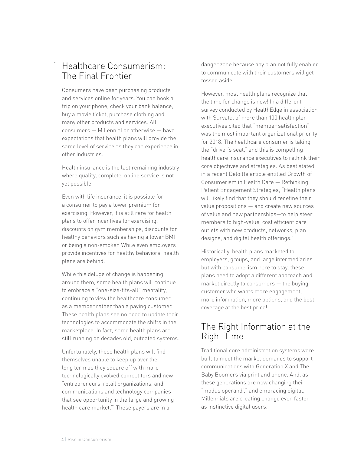#### Healthcare Consumerism: The Final Frontier

Consumers have been purchasing products and services online for years. You can book a trip on your phone, check your bank balance, buy a movie ticket, purchase clothing and many other products and services. All consumers — Millennial or otherwise — have expectations that health plans will provide the same level of service as they can experience in other industries.

Health insurance is the last remaining industry where quality, complete, online service is not yet possible.

Even with life insurance, it is possible for a consumer to pay a lower premium for exercising. However, it is still rare for health plans to offer incentives for exercising, discounts on gym memberships, discounts for healthy behaviors such as having a lower BMI or being a non-smoker. While even employers provide incentives for healthy behaviors, health plans are behind.

While this deluge of change is happening around them, some health plans will continue to embrace a "one-size-fits-all" mentality, continuing to view the healthcare consumer as a member rather than a paying customer. These health plans see no need to update their technologies to accommodate the shifts in the marketplace. In fact, some health plans are still running on decades old, outdated systems.

Unfortunately, these health plans will find themselves unable to keep up over the long term as they square off with more technologically evolved competitors and new "entrepreneurs, retail organizations, and communications and technology companies that see opportunity in the large and growing health care market."1 These payers are in a

danger zone because any plan not fully enabled to communicate with their customers will get tossed aside.

However, most health plans recognize that the time for change is now! In a different survey conducted by HealthEdge in association with Survata, of more than 100 health plan executives cited that "member satisfaction" was the most important organizational priority for 2018. The healthcare consumer is taking the "driver's seat," and this is compelling healthcare insurance executives to rethink their core objectives and strategies. As best stated in a recent Deloitte article entitled Growth of Consumerism in Health Care — Rethinking Patient Engagement Strategies, "Health plans will likely find that they should redefine their value propositions — and create new sources of value and new partnerships—to help steer members to high-value, cost efficient care outlets with new products, networks, plan designs, and digital health offerings."

Historically, health plans marketed to employers, groups, and large intermediaries but with consumerism here to stay, these plans need to adopt a different approach and market directly to consumers — the buying customer who wants more engagement, more information, more options, and the best coverage at the best price!

#### The Right Information at the Right Time

Traditional core administration systems were built to meet the market demands to support communications with Generation X and The Baby Boomers via print and phone. And, as these generations are now changing their "modus operandi," and embracing digital, Millennials are creating change even faster as instinctive digital users.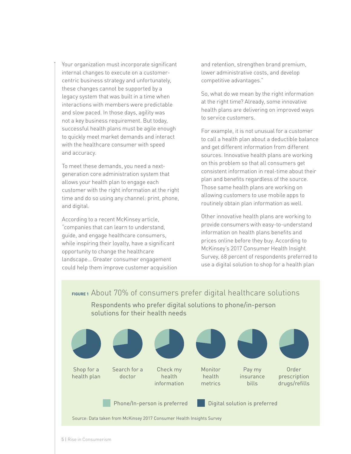Your organization must incorporate significant internal changes to execute on a customercentric business strategy and unfortunately, these changes cannot be supported by a legacy system that was built in a time when interactions with members were predictable and slow paced. In those days, agility was not a key business requirement. But today, successful health plans must be agile enough to quickly meet market demands and interact with the healthcare consumer with speed and accuracy.

To meet these demands, you need a nextgeneration core administration system that allows your health plan to engage each customer with the right information at the right time and do so using any channel: print, phone, and digital.

According to a recent McKinsey article, "companies that can learn to understand, guide, and engage healthcare consumers, while inspiring their loyalty, have a significant opportunity to change the healthcare landscape… Greater consumer engagement could help them improve customer acquisition and retention, strengthen brand premium, lower administrative costs, and develop competitive advantages."

So, what do we mean by the right information at the right time? Already, some innovative health plans are delivering on improved ways to service customers.

For example, it is not unusual for a customer to call a health plan about a deductible balance and get different information from different sources. Innovative health plans are working on this problem so that all consumers get consistent information in real-time about their plan and benefits regardless of the source. Those same health plans are working on allowing customers to use mobile apps to routinely obtain plan information as well.

Other innovative health plans are working to provide consumers with easy-to-understand information on health plans benefits and prices online before they buy. According to McKinsey's 2017 Consumer Health Insight Survey, 68 percent of respondents preferred to use a digital solution to shop for a health plan

**FIGURE 1** About 70% of consumers prefer digital healthcare solutions Respondents who prefer digital solutions to phone/in-person



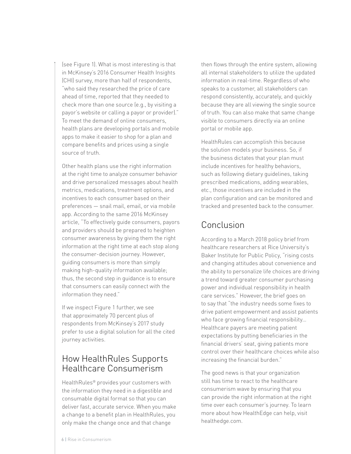(see Figure 1). What is most interesting is that in McKinsey's 2016 Consumer Health Insights (CHI) survey, more than half of respondents, "who said they researched the price of care ahead of time, reported that they needed to check more than one source (e.g., by visiting a payor's website or calling a payor or provider)." To meet the demand of online consumers, health plans are developing portals and mobile apps to make it easier to shop for a plan and compare benefits and prices using a single source of truth.

Other health plans use the right information at the right time to analyze consumer behavior and drive personalized messages about health metrics, medications, treatment options, and incentives to each consumer based on their preferences — snail mail, email, or via mobile app. According to the same 2016 McKinsey article, "To effectively guide consumers, payors and providers should be prepared to heighten consumer awareness by giving them the right information at the right time at each stop along the consumer-decision journey. However, guiding consumers is more than simply making high-quality information available; thus, the second step in guidance is to ensure that consumers can easily connect with the information they need."

If we inspect Figure 1 further, we see that approximately 70 percent plus of respondents from McKinsey's 2017 study prefer to use a digital solution for all the cited journey activities.

### How HealthRules Supports Healthcare Consumerism

HealthRules® provides your customers with the information they need in a digestible and consumable digital format so that you can deliver fast, accurate service. When you make a change to a benefit plan in HealthRules, you only make the change once and that change

then flows through the entire system, allowing all internal stakeholders to utilize the updated information in real-time. Regardless of who speaks to a customer, all stakeholders can respond consistently, accurately, and quickly because they are all viewing the single source of truth. You can also make that same change visible to consumers directly via an online portal or mobile app.

HealthRules can accomplish this because the solution models your business. So, if the business dictates that your plan must include incentives for healthy behaviors, such as following dietary guidelines, taking prescribed medications, adding wearables, etc., those incentives are included in the plan configuration and can be monitored and tracked and presented back to the consumer.

#### Conclusion

According to a March 2018 policy brief from healthcare researchers at Rice University's Baker Institute for Public Policy, "rising costs and changing attitudes about convenience and the ability to personalize life choices are driving a trend toward greater consumer purchasing power and individual responsibility in health care services." However, the brief goes on to say that "the industry needs some fixes to drive patient empowerment and assist patients who face growing financial responsibility… Healthcare payers are meeting patient expectations by putting beneficiaries in the financial drivers' seat, giving patients more control over their healthcare choices while also increasing the financial burden."

The good news is that your organization still has time to react to the healthcare consumerism wave by ensuring that you can provide the right information at the right time over each consumer's journey. To learn more about how HealthEdge can help, visit healthedge.com.